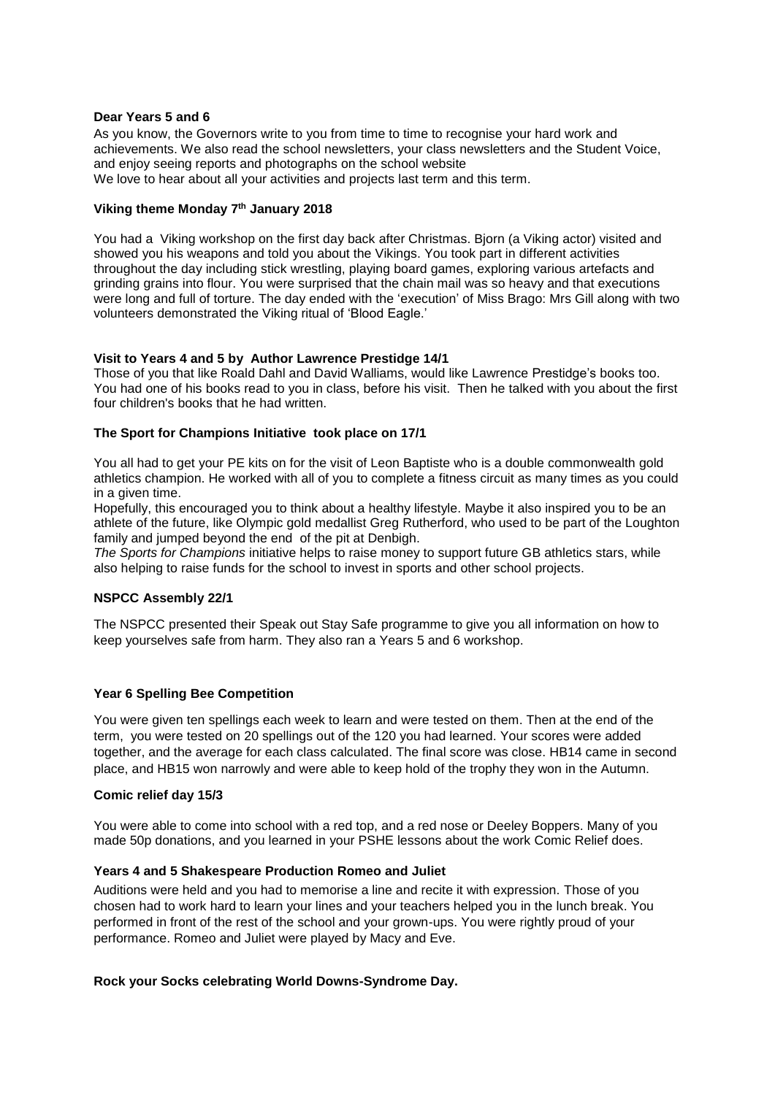#### **Dear Years 5 and 6**

As you know, the Governors write to you from time to time to recognise your hard work and achievements. We also read the school newsletters, your class newsletters and the Student Voice, and enjoy seeing reports and photographs on the school website We love to hear about all your activities and projects last term and this term.

## **Viking theme Monday 7 th January 2018**

You had a Viking workshop on the first day back after Christmas. Bjorn (a Viking actor) visited and showed you his weapons and told you about the Vikings. You took part in different activities throughout the day including stick wrestling, playing board games, exploring various artefacts and grinding grains into flour. You were surprised that the chain mail was so heavy and that executions were long and full of torture. The day ended with the 'execution' of Miss Brago: Mrs Gill along with two volunteers demonstrated the Viking ritual of 'Blood Eagle.'

## **Visit to Years 4 and 5 by Author Lawrence Prestidge 14/1**

Those of you that like Roald Dahl and David Walliams, would like Lawrence Prestidge's books too. You had one of his books read to you in class, before his visit. Then he talked with you about the first four children's books that he had written.

## **The Sport for Champions Initiative took place on 17/1**

You all had to get your PE kits on for the visit of Leon Baptiste who is a double commonwealth gold athletics champion. He worked with all of you to complete a fitness circuit as many times as you could in a given time.

Hopefully, this encouraged you to think about a healthy lifestyle. Maybe it also inspired you to be an athlete of the future, like Olympic gold medallist Greg Rutherford, who used to be part of the Loughton family and jumped beyond the end of the pit at Denbigh.

*The Sports for Champions* initiative helps to raise money to support future GB athletics stars, while also helping to raise funds for the school to invest in sports and other school projects.

#### **NSPCC Assembly 22/1**

The NSPCC presented their Speak out Stay Safe programme to give you all information on how to keep yourselves safe from harm. They also ran a Years 5 and 6 workshop.

# **Year 6 Spelling Bee Competition**

You were given ten spellings each week to learn and were tested on them. Then at the end of the term, you were tested on 20 spellings out of the 120 you had learned. Your scores were added together, and the average for each class calculated. The final score was close. HB14 came in second place, and HB15 won narrowly and were able to keep hold of the trophy they won in the Autumn.

#### **Comic relief day 15/3**

You were able to come into school with a red top, and a red nose or Deeley Boppers. Many of you made 50p donations, and you learned in your PSHE lessons about the work Comic Relief does.

#### **Years 4 and 5 Shakespeare Production Romeo and Juliet**

Auditions were held and you had to memorise a line and recite it with expression. Those of you chosen had to work hard to learn your lines and your teachers helped you in the lunch break. You performed in front of the rest of the school and your grown-ups. You were rightly proud of your performance. Romeo and Juliet were played by Macy and Eve.

# **Rock your Socks celebrating World Downs-Syndrome Day.**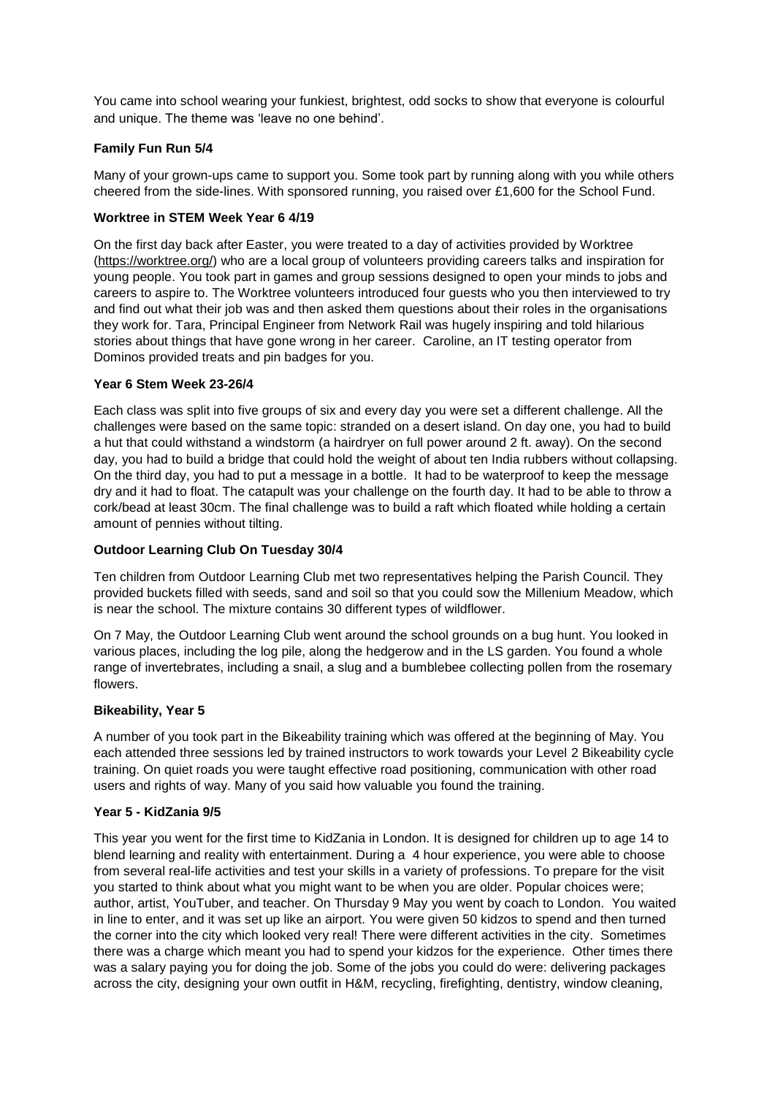You came into school wearing your funkiest, brightest, odd socks to show that everyone is colourful and unique. The theme was 'leave no one behind'.

# **Family Fun Run 5/4**

Many of your grown-ups came to support you. Some took part by running along with you while others cheered from the side-lines. With sponsored running, you raised over £1,600 for the School Fund.

# **Worktree in STEM Week Year 6 4/19**

On the first day back after Easter, you were treated to a day of activities provided by Worktree [\(https://worktree.org/\)](https://worktree.org/) who are a local group of volunteers providing careers talks and inspiration for young people. You took part in games and group sessions designed to open your minds to jobs and careers to aspire to. The Worktree volunteers introduced four guests who you then interviewed to try and find out what their job was and then asked them questions about their roles in the organisations they work for. Tara, Principal Engineer from Network Rail was hugely inspiring and told hilarious stories about things that have gone wrong in her career. Caroline, an IT testing operator from Dominos provided treats and pin badges for you.

## **Year 6 Stem Week 23-26/4**

Each class was split into five groups of six and every day you were set a different challenge. All the challenges were based on the same topic: stranded on a desert island. On day one, you had to build a hut that could withstand a windstorm (a hairdryer on full power around 2 ft. away). On the second day, you had to build a bridge that could hold the weight of about ten India rubbers without collapsing. On the third day, you had to put a message in a bottle. It had to be waterproof to keep the message dry and it had to float. The catapult was your challenge on the fourth day. It had to be able to throw a cork/bead at least 30cm. The final challenge was to build a raft which floated while holding a certain amount of pennies without tilting.

## **Outdoor Learning Club On Tuesday 30/4**

Ten children from Outdoor Learning Club met two representatives helping the Parish Council. They provided buckets filled with seeds, sand and soil so that you could sow the Millenium Meadow, which is near the school. The mixture contains 30 different types of wildflower.

On 7 May, the Outdoor Learning Club went around the school grounds on a bug hunt. You looked in various places, including the log pile, along the hedgerow and in the LS garden. You found a whole range of invertebrates, including a snail, a slug and a bumblebee collecting pollen from the rosemary flowers.

## **Bikeability, Year 5**

A number of you took part in the Bikeability training which was offered at the beginning of May. You each attended three sessions led by trained instructors to work towards your Level 2 Bikeability cycle training. On quiet roads you were taught effective road positioning, communication with other road users and rights of way. Many of you said how valuable you found the training.

#### **Year 5 - KidZania 9/5**

This year you went for the first time to KidZania in London. It is designed for children up to age 14 to blend learning and reality with entertainment. During a 4 hour experience, you were able to choose from several real-life activities and test your skills in a variety of professions. To prepare for the visit you started to think about what you might want to be when you are older. Popular choices were; author, artist, YouTuber, and teacher. On Thursday 9 May you went by coach to London. You waited in line to enter, and it was set up like an airport. You were given 50 kidzos to spend and then turned the corner into the city which looked very real! There were different activities in the city. Sometimes there was a charge which meant you had to spend your kidzos for the experience. Other times there was a salary paying you for doing the job. Some of the jobs you could do were: delivering packages across the city, designing your own outfit in H&M, recycling, firefighting, dentistry, window cleaning,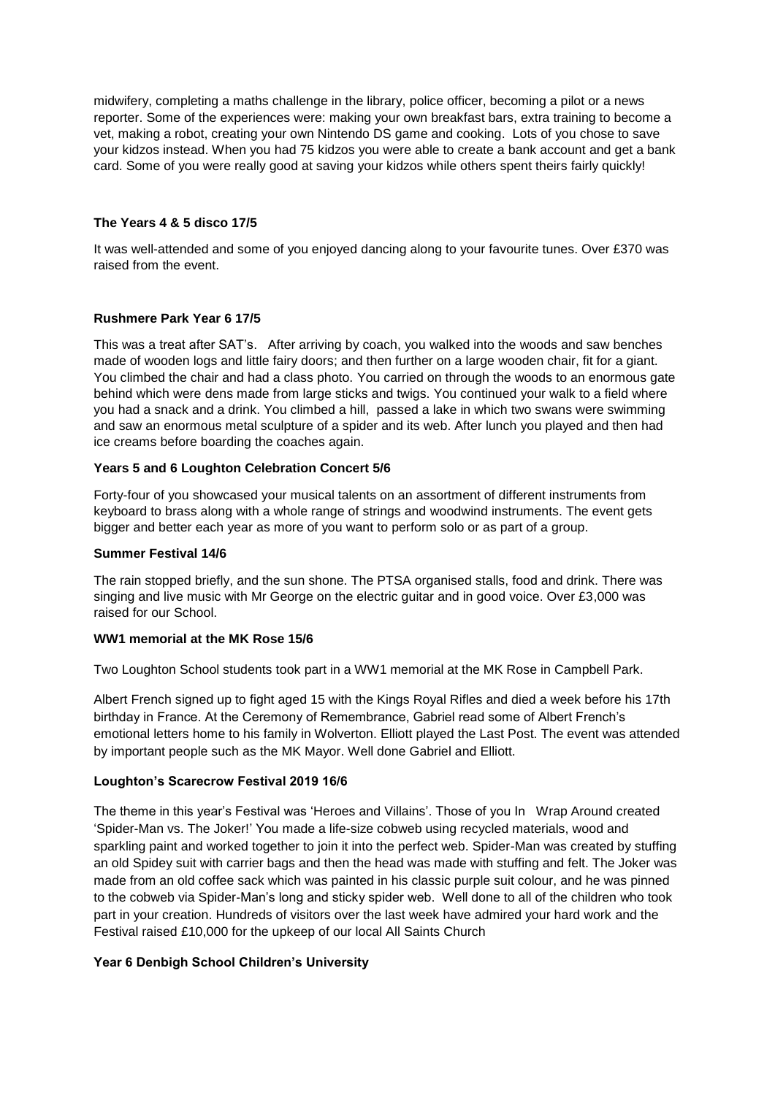midwifery, completing a maths challenge in the library, police officer, becoming a pilot or a news reporter. Some of the experiences were: making your own breakfast bars, extra training to become a vet, making a robot, creating your own Nintendo DS game and cooking. Lots of you chose to save your kidzos instead. When you had 75 kidzos you were able to create a bank account and get a bank card. Some of you were really good at saving your kidzos while others spent theirs fairly quickly!

## **The Years 4 & 5 disco 17/5**

It was well-attended and some of you enjoyed dancing along to your favourite tunes. Over £370 was raised from the event.

## **Rushmere Park Year 6 17/5**

This was a treat after SAT's. After arriving by coach, you walked into the woods and saw benches made of wooden logs and little fairy doors; and then further on a large wooden chair, fit for a giant. You climbed the chair and had a class photo. You carried on through the woods to an enormous gate behind which were dens made from large sticks and twigs. You continued your walk to a field where you had a snack and a drink. You climbed a hill, passed a lake in which two swans were swimming and saw an enormous metal sculpture of a spider and its web. After lunch you played and then had ice creams before boarding the coaches again.

## **Years 5 and 6 Loughton Celebration Concert 5/6**

Forty-four of you showcased your musical talents on an assortment of different instruments from keyboard to brass along with a whole range of strings and woodwind instruments. The event gets bigger and better each year as more of you want to perform solo or as part of a group.

#### **Summer Festival 14/6**

The rain stopped briefly, and the sun shone. The PTSA organised stalls, food and drink. There was singing and live music with Mr George on the electric guitar and in good voice. Over £3,000 was raised for our School.

#### **WW1 memorial at the MK Rose 15/6**

Two Loughton School students took part in a WW1 memorial at the MK Rose in Campbell Park.

Albert French signed up to fight aged 15 with the Kings Royal Rifles and died a week before his 17th birthday in France. At the Ceremony of Remembrance, Gabriel read some of Albert French's emotional letters home to his family in Wolverton. Elliott played the Last Post. The event was attended by important people such as the MK Mayor. Well done Gabriel and Elliott.

#### **Loughton's Scarecrow Festival 2019 16/6**

The theme in this year's Festival was 'Heroes and Villains'. Those of you In Wrap Around created 'Spider-Man vs. The Joker!' You made a life-size cobweb using recycled materials, wood and sparkling paint and worked together to join it into the perfect web. Spider-Man was created by stuffing an old Spidey suit with carrier bags and then the head was made with stuffing and felt. The Joker was made from an old coffee sack which was painted in his classic purple suit colour, and he was pinned to the cobweb via Spider-Man's long and sticky spider web. Well done to all of the children who took part in your creation. Hundreds of visitors over the last week have admired your hard work and the Festival raised £10,000 for the upkeep of our local All Saints Church

# **Year 6 Denbigh School Children's University**